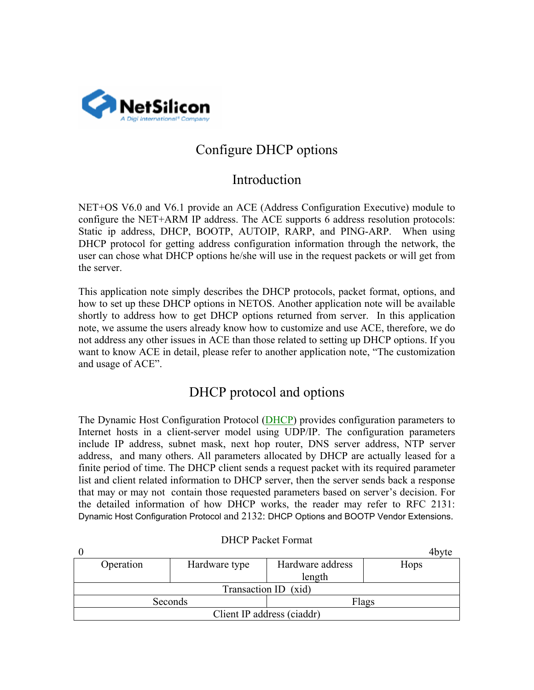

## Configure DHCP options

## Introduction

NET+OS V6.0 and V6.1 provide an ACE (Address Configuration Executive) module to configure the NET+ARM IP address. The ACE supports 6 address resolution protocols: Static ip address, DHCP, BOOTP, AUTOIP, RARP, and PING-ARP. When using DHCP protocol for getting address configuration information through the network, the user can chose what DHCP options he/she will use in the request packets or will get from the server.

This application note simply describes the DHCP protocols, packet format, options, and how to set up these DHCP options in NETOS. Another application note will be available shortly to address how to get DHCP options returned from server. In this application note, we assume the users already know how to customize and use ACE, therefore, we do not address any other issues in ACE than those related to setting up DHCP options. If you want to know ACE in detail, please refer to another application note, "The customization and usage of ACE".

## DHCP protocol and options

The Dynamic Host Configuration Protocol (DHCP) provides configuration parameters to Internet hosts in a client-server model using UDP/IP. The configuration parameters include IP address, subnet mask, next hop router, DNS server address, NTP server address, and many others. All parameters allocated by DHCP are actually leased for a finite period of time. The DHCP client sends a request packet with its required parameter list and client related information to DHCP server, then the server sends back a response that may or may not contain those requested parameters based on server's decision. For the detailed information of how DHCP works, the reader may refer to RFC 2131: Dynamic Host Configuration Protocol and 2132: DHCP Options and BOOTP Vendor Extensions.

|                            |           |               |                  | 4bvte |  |  |  |  |
|----------------------------|-----------|---------------|------------------|-------|--|--|--|--|
|                            | Operation | Hardware type | Hardware address | Hops  |  |  |  |  |
|                            |           |               | length           |       |  |  |  |  |
| Transaction ID (xid)       |           |               |                  |       |  |  |  |  |
| Seconds                    |           |               | Flags            |       |  |  |  |  |
| Client IP address (ciaddr) |           |               |                  |       |  |  |  |  |

DHCP Packet Format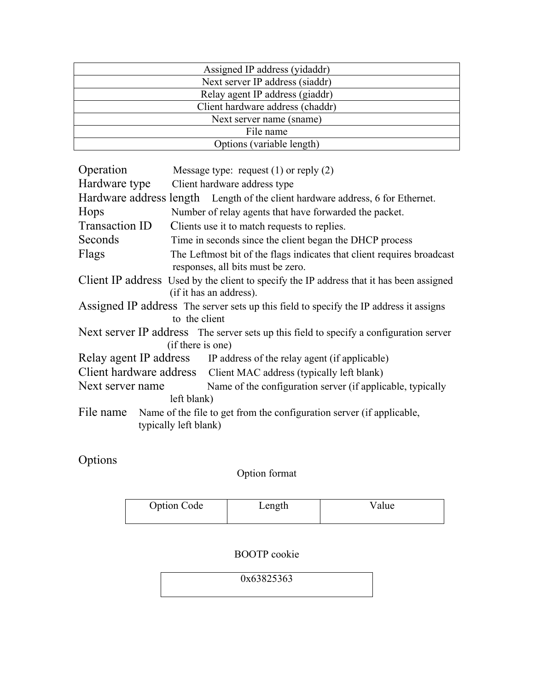| Assigned IP address (yidaddr)    |
|----------------------------------|
| Next server IP address (siaddr)  |
| Relay agent IP address (giaddr)  |
| Client hardware address (chaddr) |
| Next server name (sname)         |
| File name                        |
| Options (variable length)        |

| Operation                                                                                                   | Message type: request $(1)$ or reply $(2)$                                                                          |  |  |  |
|-------------------------------------------------------------------------------------------------------------|---------------------------------------------------------------------------------------------------------------------|--|--|--|
| Hardware type                                                                                               | Client hardware address type                                                                                        |  |  |  |
|                                                                                                             | Hardware address length Length of the client hardware address, 6 for Ethernet.                                      |  |  |  |
| Hops                                                                                                        | Number of relay agents that have forwarded the packet.                                                              |  |  |  |
| Transaction ID                                                                                              | Clients use it to match requests to replies.                                                                        |  |  |  |
| Seconds                                                                                                     | Time in seconds since the client began the DHCP process                                                             |  |  |  |
| Flags                                                                                                       | The Leftmost bit of the flags indicates that client requires broadcast<br>responses, all bits must be zero.         |  |  |  |
|                                                                                                             | Client IP address Used by the client to specify the IP address that it has been assigned<br>(if it has an address). |  |  |  |
| Assigned IP address The server sets up this field to specify the IP address it assigns<br>to the client     |                                                                                                                     |  |  |  |
| Next server IP address The server sets up this field to specify a configuration server<br>(if there is one) |                                                                                                                     |  |  |  |
|                                                                                                             | Relay agent IP address IP address of the relay agent (if applicable)                                                |  |  |  |
|                                                                                                             | Client hardware address Client MAC address (typically left blank)                                                   |  |  |  |
| Next server name                                                                                            | Name of the configuration server (if applicable, typically<br>left blank)                                           |  |  |  |
| File name                                                                                                   | Name of the file to get from the configuration server (if applicable,<br>typically left blank)                      |  |  |  |

Options

Option format

| <b>Option Code</b> | Length | Value |
|--------------------|--------|-------|
|                    |        |       |

BOOTP cookie

0x63825363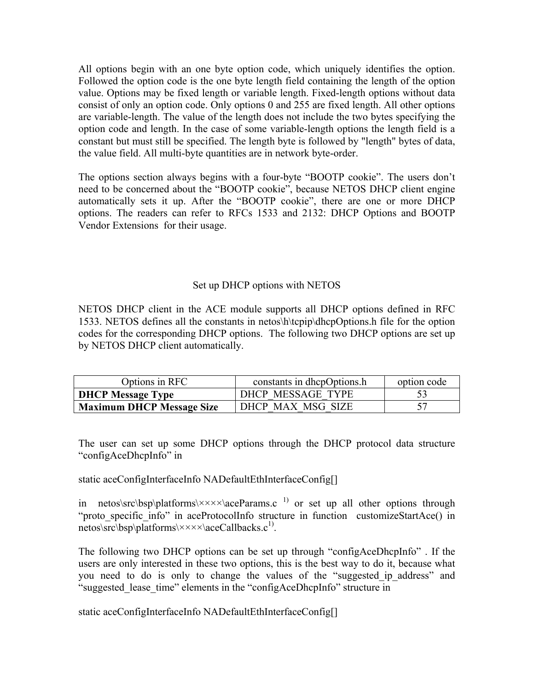All options begin with an one byte option code, which uniquely identifies the option. Followed the option code is the one byte length field containing the length of the option value. Options may be fixed length or variable length. Fixed-length options without data consist of only an option code. Only options 0 and 255 are fixed length. All other options are variable-length. The value of the length does not include the two bytes specifying the option code and length. In the case of some variable-length options the length field is a constant but must still be specified. The length byte is followed by "length" bytes of data, the value field. All multi-byte quantities are in network byte-order.

The options section always begins with a four-byte "BOOTP cookie". The users don't need to be concerned about the "BOOTP cookie", because NETOS DHCP client engine automatically sets it up. After the "BOOTP cookie", there are one or more DHCP options. The readers can refer to RFCs 1533 and 2132: DHCP Options and BOOTP Vendor Extensions for their usage.

## Set up DHCP options with NETOS

NETOS DHCP client in the ACE module supports all DHCP options defined in RFC 1533. NETOS defines all the constants in netos\h\tcpip\dhcpOptions.h file for the option codes for the corresponding DHCP options. The following two DHCP options are set up by NETOS DHCP client automatically.

| Options in RFC                   | constants in dhepOptions.h | option code |
|----------------------------------|----------------------------|-------------|
| <b>DHCP Message Type</b>         | DHCP MESSAGE TYPE          |             |
| <b>Maximum DHCP Message Size</b> | DHCP MAX MSG SIZE          |             |

The user can set up some DHCP options through the DHCP protocol data structure "configAceDhcpInfo" in

static aceConfigInterfaceInfo NADefaultEthInterfaceConfig[]

in netos\src\bsp\platforms\ $\times\times\times\times\lambda$  aceParams.c<sup>1)</sup> or set up all other options through "proto specific info" in aceProtocolInfo structure in function customizeStartAce() in netos\src\bsp\platforms\ $\times\times\times\times\text{aceCallbacks.c}^{1)}$ .

The following two DHCP options can be set up through "configAceDhcpInfo" . If the users are only interested in these two options, this is the best way to do it, because what you need to do is only to change the values of the "suggested\_ip\_address" and "suggested\_lease\_time" elements in the "configAceDhcpInfo" structure in

static aceConfigInterfaceInfo NADefaultEthInterfaceConfig[]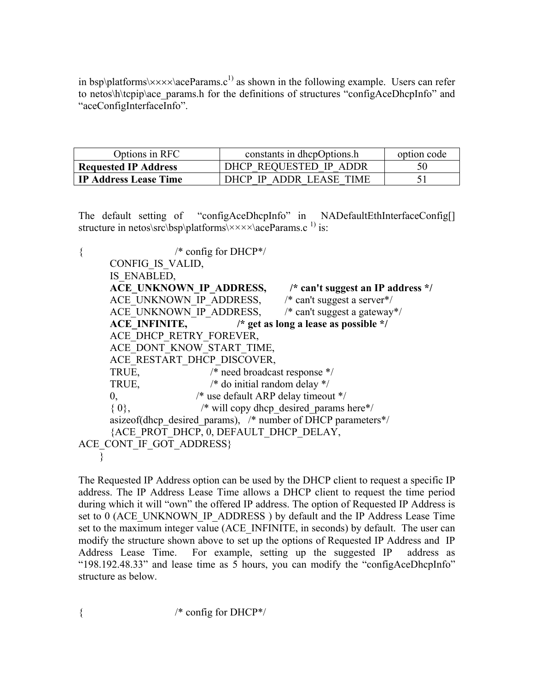in bsp\platforms\ $\times\times\times\times$ \aceParams.c<sup>1)</sup> as shown in the following example. Users can refer to netos\h\tcpip\ace\_params.h for the definitions of structures "configAceDhcpInfo" and "aceConfigInterfaceInfo".

| Options in RFC               | constants in dhepOptions.h | option code |
|------------------------------|----------------------------|-------------|
| <b>Requested IP Address</b>  | DHCP REQUESTED IP ADDR     | 50          |
| <b>IP Address Lease Time</b> | DHCP IP ADDR LEASE TIME    |             |

The default setting of "configAceDhcpInfo" in NADefaultEthInterfaceConfig[] structure in netos\src\bsp\platforms\ $\times\times\times\times\text{accept}$  aceParams.c<sup>1)</sup> is:

 $\{$  /\* config for DHCP\*/ CONFIG\_IS\_VALID, IS\_ENABLED, ACE\_UNKNOWN\_IP\_ADDRESS,  $\frac{1}{2}$  an't suggest an IP address \*/ ACE\_UNKNOWN\_IP\_ADDRESS, /\* can't suggest a server\*/ ACE\_UNKNOWN\_IP\_ADDRESS,  $\frac{1}{2}$  /\* can't suggest a gateway\*/  **ACE\_INFINITE, /\* get as long a lease as possible \*/**  ACE DHCP RETRY FOREVER, ACE\_DONT\_KNOW\_START\_TIME, ACE\_RESTART\_DHCP\_DISCOVER, TRUE, /\* need broadcast response \*/ TRUE, /\* do initial random delay \*/ 0, /\* use default ARP delay timeout \*/  ${0}$ ,  $/*$  will copy dhep desired params here\*/ asizeof(dhcp\_desired\_params),  $/*$  number of DHCP parameters $*/$  {ACE\_PROT\_DHCP, 0, DEFAULT\_DHCP\_DELAY, ACE CONT IF GOT ADDRESS} }

The Requested IP Address option can be used by the DHCP client to request a specific IP address. The IP Address Lease Time allows a DHCP client to request the time period during which it will "own" the offered IP address. The option of Requested IP Address is set to 0 (ACE\_UNKNOWN\_IP\_ADDRESS) by default and the IP Address Lease Time set to the maximum integer value (ACE\_INFINITE, in seconds) by default.The user can modify the structure shown above to set up the options of Requested IP Address and IP Address Lease Time. For example, setting up the suggested IP address as "198.192.48.33" and lease time as 5 hours, you can modify the "configAceDhcpInfo" structure as below.

{ /\* config for DHCP\*/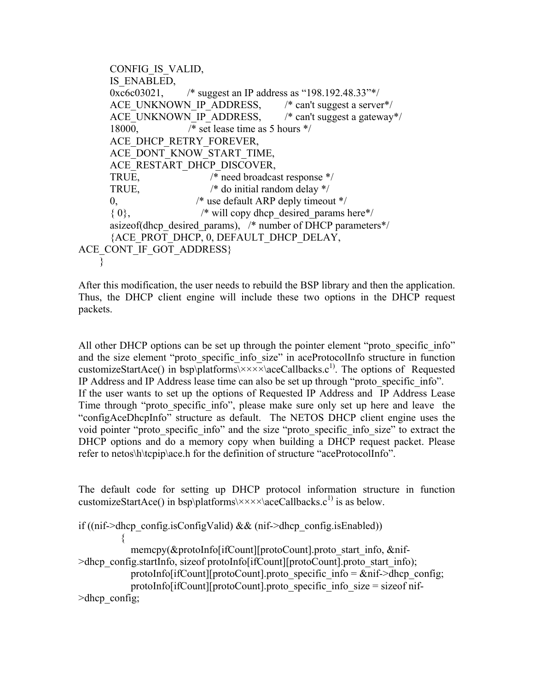```
 CONFIG_IS_VALID, 
       IS_ENABLED, 
      0xc6c03021, /* suggest an IP address as "198.192.48.33"*/ 
      ACE_UNKNOWN_IP_ADDRESS, \frac{1}{2} /* can't suggest a server*/
      ACE_UNKNOWN_IP_ADDRESS, \frac{1}{2} /* can't suggest a gateway*/
       18000, /* set lease time as 5 hours */ 
      ACE DHCP RETRY FOREVER,
      ACE_DONT_KNOW_START_TIME,
      ACE RESTART DHCP DISCOVER,
      TRUE, /* need broadcast response */ 
      TRUE, /* do initial random delay */ 
      0, /* use default ARP deply timeout */ 
      \{0\}, \rightarrow will copy dhep desired params here*/
      asizeof(dhcp_desired_params), /* number of DHCP parameters*/
       {ACE_PROT_DHCP, 0, DEFAULT_DHCP_DELAY, 
ACE CONT IF GOT ADDRESS}
 }
```
After this modification, the user needs to rebuild the BSP library and then the application. Thus, the DHCP client engine will include these two options in the DHCP request packets.

All other DHCP options can be set up through the pointer element "proto specific info" and the size element "proto\_specific\_info\_size" in aceProtocolInfo structure in function customizeStartAce() in bsp\platforms\ $\times\times\times\times$ \aceCallbacks.c<sup>1)</sup>. The options of Requested IP Address and IP Address lease time can also be set up through "proto\_specific\_info". If the user wants to set up the options of Requested IP Address and IP Address Lease Time through "proto specific info", please make sure only set up here and leave the "configAceDhcpInfo" structure as default. The NETOS DHCP client engine uses the void pointer "proto\_specific\_info" and the size "proto\_specific\_info\_size" to extract the DHCP options and do a memory copy when building a DHCP request packet. Please refer to netos\h\tcpip\ace.h for the definition of structure "aceProtocolInfo".

The default code for setting up DHCP protocol information structure in function customizeStartAce() in bsp\platforms\ $\times\times\times\times$ \aceCallbacks.c<sup>1)</sup> is as below.

```
if ((nif->dhcp_config.isConfigValid) && (nif->dhcp_config.isEnabled))
```

```
\left\{ \begin{array}{cc} 0 & 0 \\ 0 & 0 \end{array} \right\}memcpy(&protoInfo[ifCount][protoCount].proto_start_info, &nif-
>dhcp_config.startInfo, sizeof protoInfo[ifCount][protoCount].proto_start_info);
```

```
protoInfo[ifCount][protoCount].proto_specific_info = \&nif->dhcp_config;
```

```
 protoInfo[ifCount][protoCount].proto_specific_info_size = sizeof nif-
>dhcp_config;
```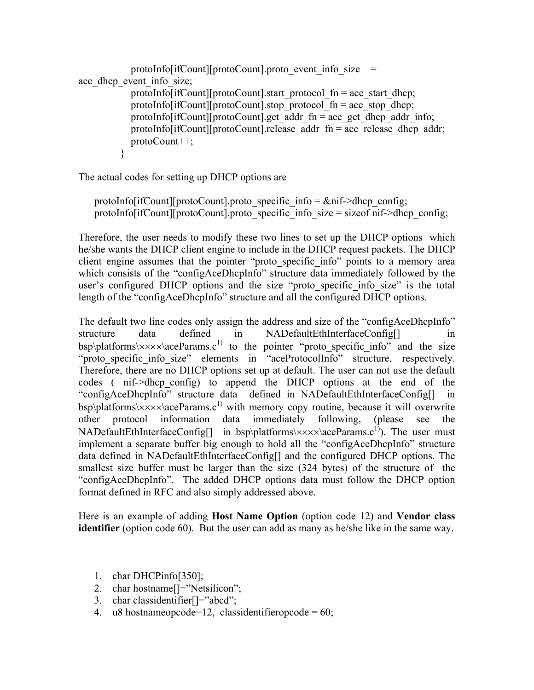```
protoInfo[ifCount][protoCount].proto_event_info_size =
ace dhcp event info size;
           protoInfo[ifCount][protoCount].start_protocol_fn = ace_start_dhcp;
           protoInfo[ifCount][protoCount].stop_protocol_fn = ace_stop_dhcp;
           protoInfo[ifCount][protoCount].get_addr_fn = ace_get_dhcp_addr_info;
           protoInfo[ifCount][protoCount].release_addr_fn = ace_release_dhcp_addr;
            protoCount++; 
          }
```
The actual codes for setting up DHCP options are

protoInfo[ifCount][protoCount].proto\_specific\_info =  $\&$ nif->dhcp\_config; protoInfo[ifCount][protoCount].proto\_specific\_info\_size = size of nif->dhcp\_config;

Therefore, the user needs to modify these two lines to set up the DHCP options which he/she wants the DHCP client engine to include in the DHCP request packets. The DHCP client engine assumes that the pointer "proto\_specific\_info" points to a memory area which consists of the "configAceDhcpInfo" structure data immediately followed by the user's configured DHCP options and the size "proto specific info size" is the total length of the "configAceDhcpInfo" structure and all the configured DHCP options.

The default two line codes only assign the address and size of the "configAceDhcpInfo" structure data defined in NADefaultEthInterfaceConfig[] in bsp\platforms\ $\times\times\times\times\text{aceParameters}.c^{1}$  to the pointer "proto specific info" and the size "proto specific info size" elements in "aceProtocolInfo" structure, respectively. Therefore, there are no DHCP options set up at default. The user can not use the default codes ( nif->dhcp\_config) to append the DHCP options at the end of the "configAceDhcpInfo" structure data defined in NADefaultEthInterfaceConfig[] in  $bsp\phi$  band the state  $\star x \times \lambda$  ace Params.c<sup>1)</sup> with memory copy routine, because it will overwrite other protocol information data immediately following, (please see the NADefaultEthInterfaceConfig[] in bsp\platforms\ $\times\times\times\times\text{accept}$  arams.c<sup>1</sup>). The user must implement a separate buffer big enough to hold all the "configAceDhcpInfo" structure data defined in NADefaultEthInterfaceConfig[] and the configured DHCP options. The smallest size buffer must be larger than the size (324 bytes) of the structure of the "configAceDhcpInfo". The added DHCP options data must follow the DHCP option format defined in RFC and also simply addressed above.

Here is an example of adding **Host Name Option** (option code 12) and **Vendor class identifier** (option code 60). But the user can add as many as he/she like in the same way.

- 1. char DHCPinfo[350];
- 2. char hostname<sup>[]="Netsilicon";</sup>
- 3. char classidentifier[]="abcd";
- 4. u8 hostnameopcode=12, classidentifieropcode **=** 60;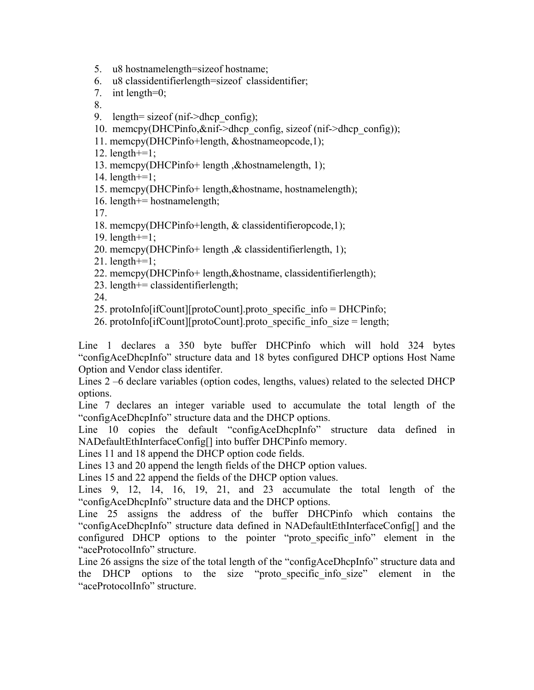5. u8 hostnamelength=sizeof hostname;

6. u8 classidentifierlength=sizeof classidentifier;

7. int length=0;

8.

- 9. length= size of (nif- $\geq$ dhcp config);
- 10. memcpy(DHCPinfo,&nif->dhcp\_config, sizeof (nif->dhcp\_config));
- 11. memcpy(DHCPinfo+length, &hostnameopcode,1);
- 12. length $+=1$ ;
- 13. memcpy(DHCPinfo+ length ,&hostnamelength, 1);
- 14. length+=1;
- 15. memcpy(DHCPinfo+ length,&hostname, hostnamelength);
- 16. length+= hostnamelength;

17.

- 18. memcpy(DHCPinfo+length, & classidentifieropcode,1);
- 19. length+=1;
- 20. memcpy(DHCPinfo+ length ,& classidentifierlength, 1);
- 21. length $+=1$ ;
- 22. memcpy(DHCPinfo+ length,&hostname, classidentifierlength);
- 23. length $+=$  classidentifierlength;
- 24.
- 25. protoInfo[ifCount][protoCount].proto\_specific\_info = DHCPinfo;
- 26. protoInfo[ifCount][protoCount].proto\_specific\_info\_size = length;

Line 1 declares a 350 byte buffer DHCPinfo which will hold 324 bytes "configAceDhcpInfo" structure data and 18 bytes configured DHCP options Host Name Option and Vendor class identifer.

Lines 2 –6 declare variables (option codes, lengths, values) related to the selected DHCP options.

Line 7 declares an integer variable used to accumulate the total length of the "configAceDhcpInfo" structure data and the DHCP options.

Line 10 copies the default "configAceDhcpInfo" structure data defined in NADefaultEthInterfaceConfig[] into buffer DHCPinfo memory.

Lines 11 and 18 append the DHCP option code fields.

Lines 13 and 20 append the length fields of the DHCP option values.

Lines 15 and 22 append the fields of the DHCP option values.

Lines 9, 12, 14, 16, 19, 21, and 23 accumulate the total length of the "configAceDhcpInfo" structure data and the DHCP options.

Line 25 assigns the address of the buffer DHCPinfo which contains the "configAceDhcpInfo" structure data defined in NADefaultEthInterfaceConfig[] and the configured DHCP options to the pointer "proto specific info" element in the "aceProtocolInfo" structure.

Line 26 assigns the size of the total length of the "configAceDhcpInfo" structure data and the DHCP options to the size "proto-specific info-size" element in the "aceProtocolInfo" structure.